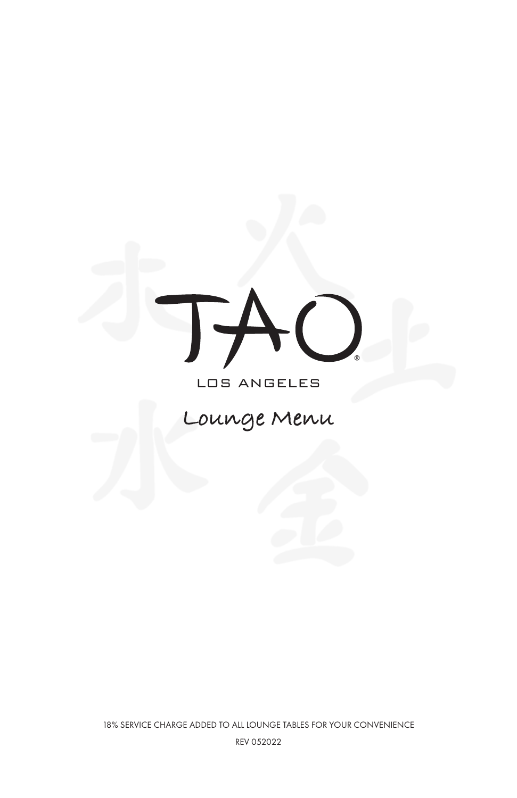

## LOS ANGELES

# **Lounge Menu**

18% SERVICE CHARGE ADDED TO ALL LOUNGE TABLES FOR YOUR CONVENIENCE REV 052022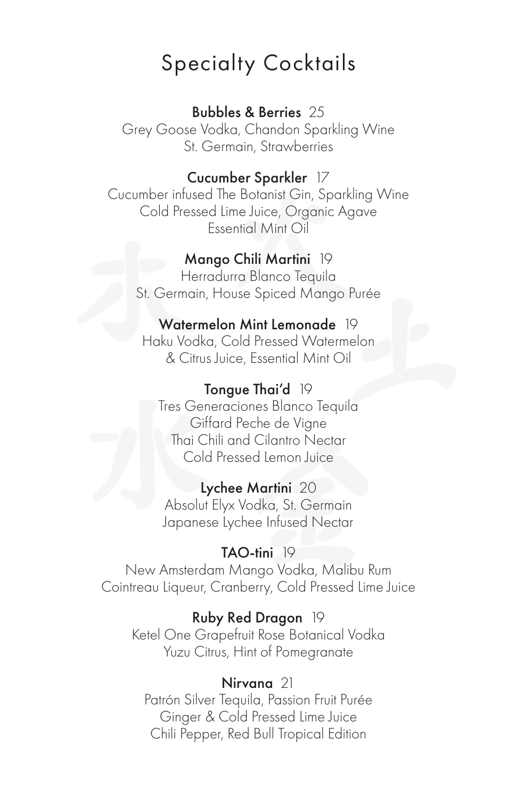## Specialty Cocktails

## Bubbles & Berries 25

Grey Goose Vodka, Chandon Sparkling Wine St. Germain, Strawberries

## Cucumber Sparkler 17

Cucumber infused The Botanist Gin, Sparkling Wine Cold Pressed Lime Juice, Organic Agave Essential Mint Oil

## Mango Chili Martini 19

Herradurra Blanco Tequila St. Germain, House Spiced Mango Purée

### Watermelon Mint Lemonade 19

Haku Vodka, Cold Pressed Watermelon & Citrus Juice, Essential Mint Oil

### Tongue Thai'd 19

Tres Generaciones Blanco Tequila Giffard Peche de Vigne Thai Chili and Cilantro Nectar Cold Pressed Lemon Juice

#### Lychee Martini 20

Absolut Elyx Vodka, St. Germain Japanese Lychee Infused Nectar

### TAO-tini 19

New Amsterdam Mango Vodka, Malibu Rum Cointreau Liqueur, Cranberry, Cold Pressed Lime Juice

#### Ruby Red Dragon 19

Ketel One Grapefruit Rose Botanical Vodka Yuzu Citrus, Hint of Pomegranate

### Nirvana 21

Patrón Silver Tequila, Passion Fruit Purée Ginger & Cold Pressed Lime Juice Chili Pepper, Red Bull Tropical Edition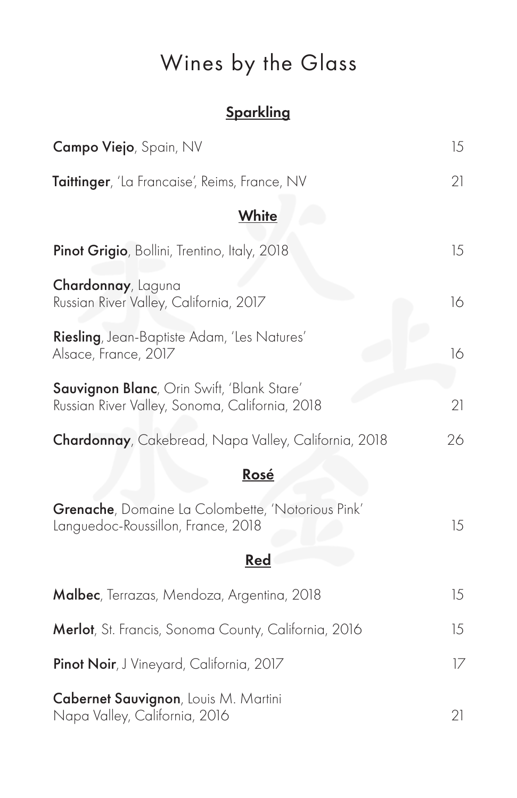# Wines by the Glass

## **Sparkling**

| Campo Viejo, Spain, NV                                                                               | 15 |
|------------------------------------------------------------------------------------------------------|----|
| Taittinger, 'La Francaise', Reims, France, NV                                                        | 21 |
| White                                                                                                |    |
| Pinot Grigio, Bollini, Trentino, Italy, 2018                                                         | 15 |
| Chardonnay, Laguna<br>Russian River Valley, California, 2017                                         | 16 |
| Riesling, Jean-Baptiste Adam, 'Les Natures'<br>Alsace, France, 2017                                  | 16 |
| <b>Sauvignon Blanc</b> , Orin Swift, 'Blank Stare'<br>Russian River Valley, Sonoma, California, 2018 | 21 |
| Chardonnay, Cakebread, Napa Valley, California, 2018                                                 | 26 |
| Rosé                                                                                                 |    |
| Grenache, Domaine La Colombette, 'Notorious Pink'<br>Languedoc-Roussillon, France, 2018              | 15 |
| <u>Red</u>                                                                                           |    |
| Malbec, Terrazas, Mendoza, Argentina, 2018                                                           | 15 |
| Merlot, St. Francis, Sonoma County, California, 2016                                                 | 15 |
| Pinot Noir, J Vineyard, California, 2017                                                             | 17 |
| Cabernet Sauvignon, Louis M. Martini<br>Napa Valley, California, 2016                                | 21 |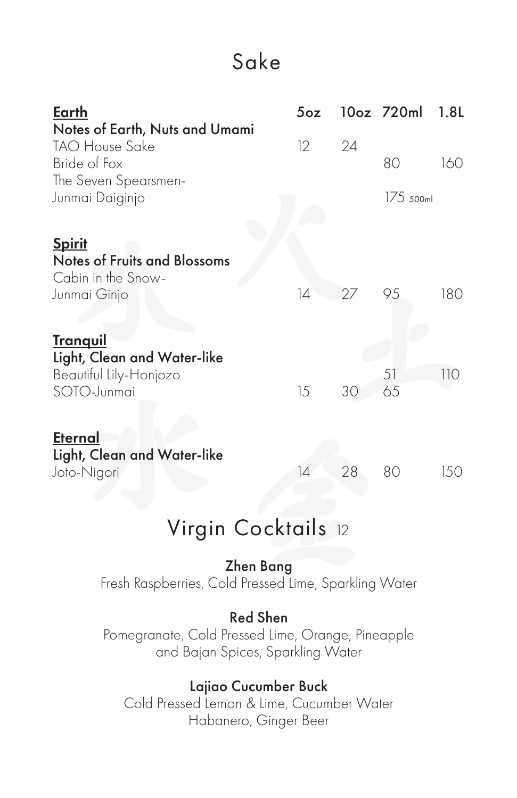## Sake

| Earth                               | 5 <sub>oz</sub> |    | 10oz 720ml  | 1.8L |
|-------------------------------------|-----------------|----|-------------|------|
| Notes of Earth, Nuts and Umami      |                 |    |             |      |
| <b>TAO House Sake</b>               | 12              | 24 |             |      |
| Bride of Fox                        |                 |    | 80          | 160  |
| The Seven Spearsmen-                |                 |    |             |      |
| Junmai Daiginjo                     |                 |    | $175$ 500ml |      |
|                                     |                 |    |             |      |
| <b>Spirit</b>                       |                 |    |             |      |
| <b>Notes of Fruits and Blossoms</b> |                 |    |             |      |
| Cabin in the Snow-                  |                 |    |             |      |
| Junmai Ginjo                        | 4               | 27 | 95          | 180  |
|                                     |                 |    |             |      |
| <u>Tranquil</u>                     |                 |    |             |      |
| Light, Clean and Water-like         |                 |    |             |      |
| Beautiful Lily-Honjozo              |                 |    | 51          | 110  |
| SOTO-Junmai                         | 15              | 30 | 65          |      |
|                                     |                 |    |             |      |
| <b>Eternal</b>                      |                 |    |             |      |
| Light, Clean and Water-like         |                 |    |             |      |
| Joto-Nigori                         | 14              | 28 | 80          | 150  |

## Virgin Cocktails 12

## Zhen Bang

Fresh Raspberries, Cold Pressed Lime, Sparkling Water

## Red Shen

Pomegranate, Cold Pressed Lime, Orange, Pineapple and Bajan Spices, Sparkling Water

## Lajiao Cucumber Buck

Cold Pressed Lemon & Lime, Cucumber Water Habanero, Ginger Beer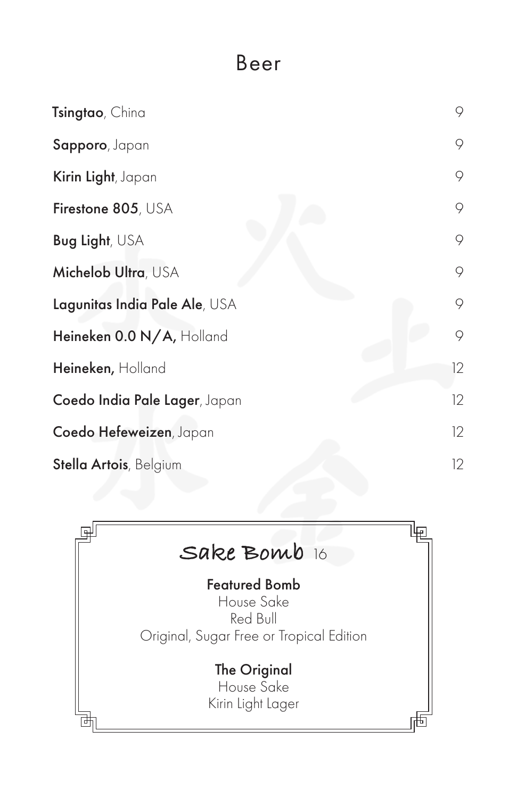## Beer

| Tsingtao, China                | 9  |
|--------------------------------|----|
| Sapporo, Japan                 | 9  |
| Kirin Light, Japan             | 9  |
| Firestone 805, USA             | 9  |
| Bug Light, USA                 | 9  |
| Michelob Ultra, USA            | 9  |
| Lagunitas India Pale Ale, USA  | 9  |
| Heineken 0.0 N/A, Holland      | 9  |
| Heineken, Holland              | 12 |
| Coedo India Pale Lager, Japan  | 12 |
| Coedo Hefeweizen, Japan        | 12 |
| <b>Stella Artois</b> , Belgium | 12 |